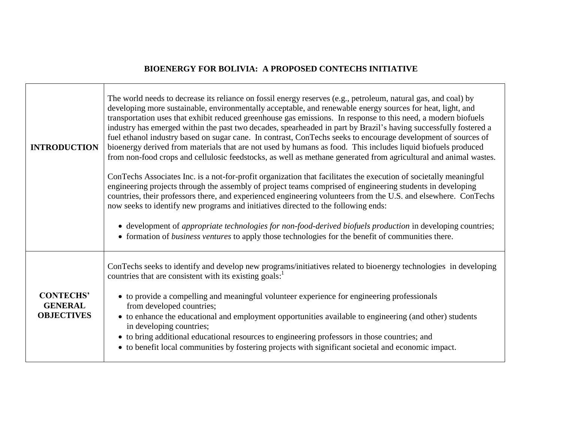## **BIOENERGY FOR BOLIVIA: A PROPOSED CONTECHS INITIATIVE**

 $\Gamma$ 

| <b>INTRODUCTION</b>                                     | The world needs to decrease its reliance on fossil energy reserves (e.g., petroleum, natural gas, and coal) by<br>developing more sustainable, environmentally acceptable, and renewable energy sources for heat, light, and<br>transportation uses that exhibit reduced greenhouse gas emissions. In response to this need, a modern biofuels<br>industry has emerged within the past two decades, spearheaded in part by Brazil's having successfully fostered a<br>fuel ethanol industry based on sugar cane. In contrast, ConTechs seeks to encourage development of sources of<br>bioenergy derived from materials that are not used by humans as food. This includes liquid biofuels produced<br>from non-food crops and cellulosic feedstocks, as well as methane generated from agricultural and animal wastes.<br>ConTechs Associates Inc. is a not-for-profit organization that facilitates the execution of societally meaningful<br>engineering projects through the assembly of project teams comprised of engineering students in developing<br>countries, their professors there, and experienced engineering volunteers from the U.S. and elsewhere. ConTechs<br>now seeks to identify new programs and initiatives directed to the following ends:<br>• development of appropriate technologies for non-food-derived biofuels production in developing countries;<br>• formation of <i>business ventures</i> to apply those technologies for the benefit of communities there. |
|---------------------------------------------------------|-------------------------------------------------------------------------------------------------------------------------------------------------------------------------------------------------------------------------------------------------------------------------------------------------------------------------------------------------------------------------------------------------------------------------------------------------------------------------------------------------------------------------------------------------------------------------------------------------------------------------------------------------------------------------------------------------------------------------------------------------------------------------------------------------------------------------------------------------------------------------------------------------------------------------------------------------------------------------------------------------------------------------------------------------------------------------------------------------------------------------------------------------------------------------------------------------------------------------------------------------------------------------------------------------------------------------------------------------------------------------------------------------------------------------------------------------------------------------------------------------|
| <b>CONTECHS'</b><br><b>GENERAL</b><br><b>OBJECTIVES</b> | ConTechs seeks to identify and develop new programs/initiatives related to bioenergy technologies in developing<br>countries that are consistent with its existing goals:<br>• to provide a compelling and meaningful volunteer experience for engineering professionals<br>from developed countries;<br>• to enhance the educational and employment opportunities available to engineering (and other) students<br>in developing countries;<br>• to bring additional educational resources to engineering professors in those countries; and<br>• to benefit local communities by fostering projects with significant societal and economic impact.                                                                                                                                                                                                                                                                                                                                                                                                                                                                                                                                                                                                                                                                                                                                                                                                                                            |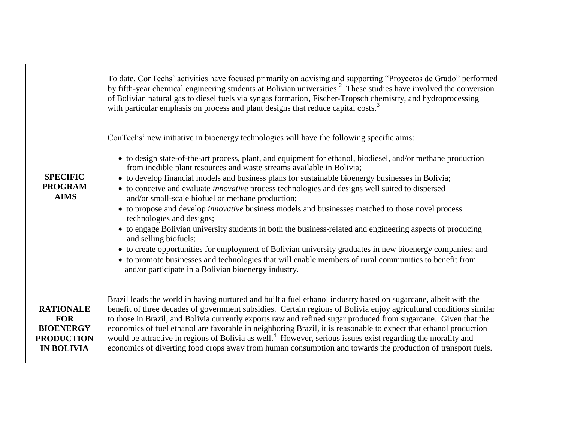|                                                                                              | To date, ConTechs' activities have focused primarily on advising and supporting "Proyectos de Grado" performed<br>by fifth-year chemical engineering students at Bolivian universities. <sup>2</sup> These studies have involved the conversion<br>of Bolivian natural gas to diesel fuels via syngas formation, Fischer-Tropsch chemistry, and hydroprocessing -<br>with particular emphasis on process and plant designs that reduce capital costs. <sup>3</sup>                                                                                                                                                                                                                                                                                                                                                                                                                                                                                                                                                                                                                                                    |
|----------------------------------------------------------------------------------------------|-----------------------------------------------------------------------------------------------------------------------------------------------------------------------------------------------------------------------------------------------------------------------------------------------------------------------------------------------------------------------------------------------------------------------------------------------------------------------------------------------------------------------------------------------------------------------------------------------------------------------------------------------------------------------------------------------------------------------------------------------------------------------------------------------------------------------------------------------------------------------------------------------------------------------------------------------------------------------------------------------------------------------------------------------------------------------------------------------------------------------|
| <b>SPECIFIC</b><br><b>PROGRAM</b><br><b>AIMS</b>                                             | ConTechs' new initiative in bioenergy technologies will have the following specific aims:<br>• to design state-of-the-art process, plant, and equipment for ethanol, biodiesel, and/or methane production<br>from inedible plant resources and waste streams available in Bolivia;<br>• to develop financial models and business plans for sustainable bioenergy businesses in Bolivia;<br>• to conceive and evaluate <i>innovative</i> process technologies and designs well suited to dispersed<br>and/or small-scale biofuel or methane production;<br>• to propose and develop <i>innovative</i> business models and businesses matched to those novel process<br>technologies and designs;<br>• to engage Bolivian university students in both the business-related and engineering aspects of producing<br>and selling biofuels;<br>• to create opportunities for employment of Bolivian university graduates in new bioenergy companies; and<br>• to promote businesses and technologies that will enable members of rural communities to benefit from<br>and/or participate in a Bolivian bioenergy industry. |
| <b>RATIONALE</b><br><b>FOR</b><br><b>BIOENERGY</b><br><b>PRODUCTION</b><br><b>IN BOLIVIA</b> | Brazil leads the world in having nurtured and built a fuel ethanol industry based on sugarcane, albeit with the<br>benefit of three decades of government subsidies. Certain regions of Bolivia enjoy agricultural conditions similar<br>to those in Brazil, and Bolivia currently exports raw and refined sugar produced from sugarcane. Given that the<br>economics of fuel ethanol are favorable in neighboring Brazil, it is reasonable to expect that ethanol production<br>would be attractive in regions of Bolivia as well. <sup>4</sup> However, serious issues exist regarding the morality and<br>economics of diverting food crops away from human consumption and towards the production of transport fuels.                                                                                                                                                                                                                                                                                                                                                                                             |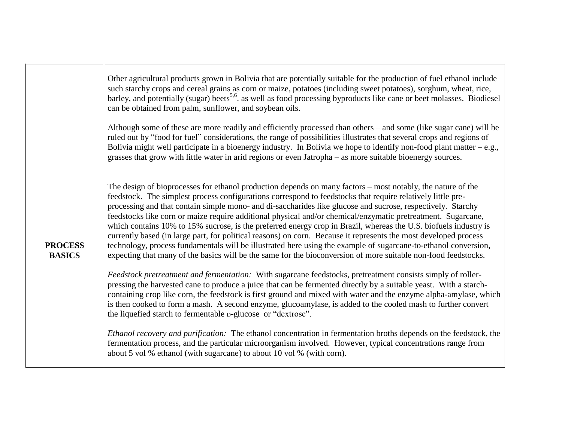|                                 | Other agricultural products grown in Bolivia that are potentially suitable for the production of fuel ethanol include<br>such starchy crops and cereal grains as corn or maize, potatoes (including sweet potatoes), sorghum, wheat, rice,<br>barley, and potentially (sugar) beets <sup>5,6</sup> , as well as food processing byproducts like cane or beet molasses. Biodiesel<br>can be obtained from palm, sunflower, and soybean oils.<br>Although some of these are more readily and efficiently processed than others – and some (like sugar cane) will be<br>ruled out by "food for fuel" considerations, the range of possibilities illustrates that several crops and regions of<br>Bolivia might well participate in a bioenergy industry. In Bolivia we hope to identify non-food plant matter $-e.g.,$<br>grasses that grow with little water in arid regions or even Jatropha – as more suitable bioenergy sources.      |
|---------------------------------|----------------------------------------------------------------------------------------------------------------------------------------------------------------------------------------------------------------------------------------------------------------------------------------------------------------------------------------------------------------------------------------------------------------------------------------------------------------------------------------------------------------------------------------------------------------------------------------------------------------------------------------------------------------------------------------------------------------------------------------------------------------------------------------------------------------------------------------------------------------------------------------------------------------------------------------|
| <b>PROCESS</b><br><b>BASICS</b> | The design of bioprocesses for ethanol production depends on many factors - most notably, the nature of the<br>feedstock. The simplest process configurations correspond to feedstocks that require relatively little pre-<br>processing and that contain simple mono- and di-saccharides like glucose and sucrose, respectively. Starchy<br>feedstocks like corn or maize require additional physical and/or chemical/enzymatic pretreatment. Sugarcane,<br>which contains 10% to 15% sucrose, is the preferred energy crop in Brazil, whereas the U.S. biofuels industry is<br>currently based (in large part, for political reasons) on corn. Because it represents the most developed process<br>technology, process fundamentals will be illustrated here using the example of sugarcane-to-ethanol conversion,<br>expecting that many of the basics will be the same for the bioconversion of more suitable non-food feedstocks. |
|                                 | Feedstock pretreatment and fermentation: With sugarcane feedstocks, pretreatment consists simply of roller-<br>pressing the harvested cane to produce a juice that can be fermented directly by a suitable yeast. With a starch-<br>containing crop like corn, the feedstock is first ground and mixed with water and the enzyme alpha-amylase, which<br>is then cooked to form a mash. A second enzyme, glucoamylase, is added to the cooled mash to further convert<br>the liquefied starch to fermentable p-glucose or "dextrose".                                                                                                                                                                                                                                                                                                                                                                                                  |
|                                 | Ethanol recovery and purification: The ethanol concentration in fermentation broths depends on the feedstock, the<br>fermentation process, and the particular microorganism involved. However, typical concentrations range from<br>about 5 vol % ethanol (with sugarcane) to about 10 vol % (with corn).                                                                                                                                                                                                                                                                                                                                                                                                                                                                                                                                                                                                                              |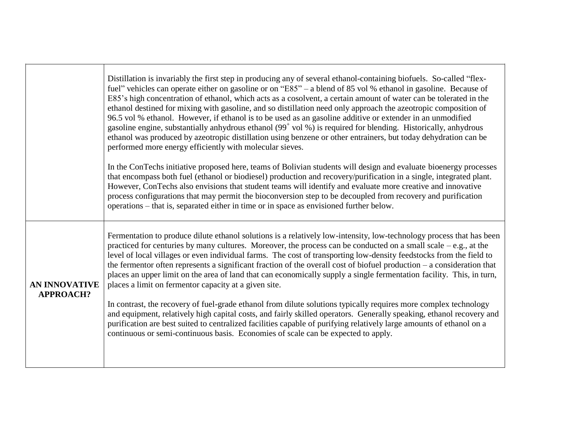|                                          | Distillation is invariably the first step in producing any of several ethanol-containing biofuels. So-called "flex-<br>fuel" vehicles can operate either on gasoline or on "E85" – a blend of 85 vol % ethanol in gasoline. Because of<br>E85's high concentration of ethanol, which acts as a cosolvent, a certain amount of water can be tolerated in the<br>ethanol destined for mixing with gasoline, and so distillation need only approach the azeotropic composition of<br>96.5 vol % ethanol. However, if ethanol is to be used as an gasoline additive or extender in an unmodified<br>gasoline engine, substantially anhydrous ethanol $(99+$ vol %) is required for blending. Historically, anhydrous<br>ethanol was produced by azeotropic distillation using benzene or other entrainers, but today dehydration can be<br>performed more energy efficiently with molecular sieves.<br>In the ConTechs initiative proposed here, teams of Bolivian students will design and evaluate bioenergy processes |
|------------------------------------------|----------------------------------------------------------------------------------------------------------------------------------------------------------------------------------------------------------------------------------------------------------------------------------------------------------------------------------------------------------------------------------------------------------------------------------------------------------------------------------------------------------------------------------------------------------------------------------------------------------------------------------------------------------------------------------------------------------------------------------------------------------------------------------------------------------------------------------------------------------------------------------------------------------------------------------------------------------------------------------------------------------------------|
|                                          | that encompass both fuel (ethanol or biodiesel) production and recovery/purification in a single, integrated plant.<br>However, ConTechs also envisions that student teams will identify and evaluate more creative and innovative<br>process configurations that may permit the bioconversion step to be decoupled from recovery and purification<br>operations – that is, separated either in time or in space as envisioned further below.                                                                                                                                                                                                                                                                                                                                                                                                                                                                                                                                                                        |
| <b>AN INNOVATIVE</b><br><b>APPROACH?</b> | Fermentation to produce dilute ethanol solutions is a relatively low-intensity, low-technology process that has been<br>practiced for centuries by many cultures. Moreover, the process can be conducted on a small scale $-e.g.,$ at the<br>level of local villages or even individual farms. The cost of transporting low-density feedstocks from the field to<br>the fermentor often represents a significant fraction of the overall cost of biofuel production $-$ a consideration that<br>places an upper limit on the area of land that can economically supply a single fermentation facility. This, in turn,<br>places a limit on fermentor capacity at a given site.<br>In contrast, the recovery of fuel-grade ethanol from dilute solutions typically requires more complex technology                                                                                                                                                                                                                   |
|                                          | and equipment, relatively high capital costs, and fairly skilled operators. Generally speaking, ethanol recovery and<br>purification are best suited to centralized facilities capable of purifying relatively large amounts of ethanol on a<br>continuous or semi-continuous basis. Economies of scale can be expected to apply.                                                                                                                                                                                                                                                                                                                                                                                                                                                                                                                                                                                                                                                                                    |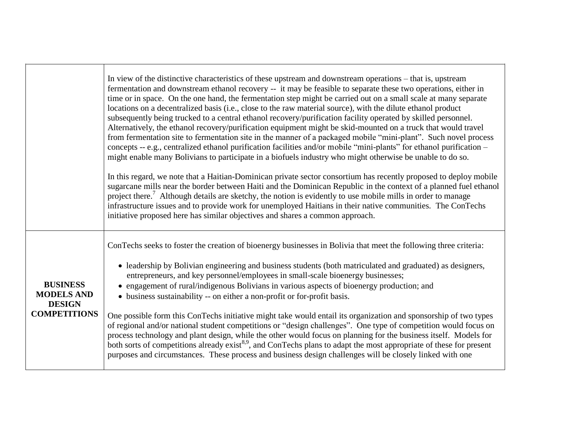|                                                                              | In view of the distinctive characteristics of these upstream and downstream operations – that is, upstream<br>fermentation and downstream ethanol recovery -- it may be feasible to separate these two operations, either in<br>time or in space. On the one hand, the fermentation step might be carried out on a small scale at many separate<br>locations on a decentralized basis (i.e., close to the raw material source), with the dilute ethanol product<br>subsequently being trucked to a central ethanol recovery/purification facility operated by skilled personnel.<br>Alternatively, the ethanol recovery/purification equipment might be skid-mounted on a truck that would travel<br>from fermentation site to fermentation site in the manner of a packaged mobile "mini-plant". Such novel process<br>concepts -- e.g., centralized ethanol purification facilities and/or mobile "mini-plants" for ethanol purification -<br>might enable many Bolivians to participate in a biofuels industry who might otherwise be unable to do so.<br>In this regard, we note that a Haitian-Dominican private sector consortium has recently proposed to deploy mobile<br>sugarcane mills near the border between Haiti and the Dominican Republic in the context of a planned fuel ethanol<br>project there. <sup>7</sup> Although details are sketchy, the notion is evidently to use mobile mills in order to manage<br>infrastructure issues and to provide work for unemployed Haitians in their native communities. The ConTechs<br>initiative proposed here has similar objectives and shares a common approach. |
|------------------------------------------------------------------------------|---------------------------------------------------------------------------------------------------------------------------------------------------------------------------------------------------------------------------------------------------------------------------------------------------------------------------------------------------------------------------------------------------------------------------------------------------------------------------------------------------------------------------------------------------------------------------------------------------------------------------------------------------------------------------------------------------------------------------------------------------------------------------------------------------------------------------------------------------------------------------------------------------------------------------------------------------------------------------------------------------------------------------------------------------------------------------------------------------------------------------------------------------------------------------------------------------------------------------------------------------------------------------------------------------------------------------------------------------------------------------------------------------------------------------------------------------------------------------------------------------------------------------------------------------------------------------------------------------------------------------------|
| <b>BUSINESS</b><br><b>MODELS AND</b><br><b>DESIGN</b><br><b>COMPETITIONS</b> | ConTechs seeks to foster the creation of bioenergy businesses in Bolivia that meet the following three criteria:<br>• leadership by Bolivian engineering and business students (both matriculated and graduated) as designers,<br>entrepreneurs, and key personnel/employees in small-scale bioenergy businesses;<br>• engagement of rural/indigenous Bolivians in various aspects of bioenergy production; and<br>• business sustainability -- on either a non-profit or for-profit basis.<br>One possible form this ConTechs initiative might take would entail its organization and sponsorship of two types<br>of regional and/or national student competitions or "design challenges". One type of competition would focus on<br>process technology and plant design, while the other would focus on planning for the business itself. Models for<br>both sorts of competitions already exist <sup>8,9</sup> , and ConTechs plans to adapt the most appropriate of these for present<br>purposes and circumstances. These process and business design challenges will be closely linked with one                                                                                                                                                                                                                                                                                                                                                                                                                                                                                                                           |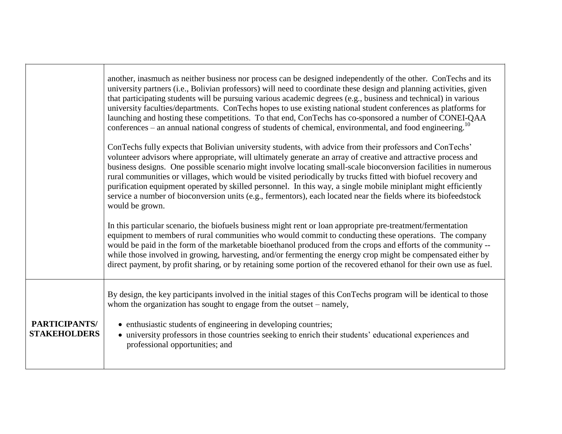|                                      | another, inasmuch as neither business nor process can be designed independently of the other. ConTechs and its<br>university partners (i.e., Bolivian professors) will need to coordinate these design and planning activities, given<br>that participating students will be pursuing various academic degrees (e.g., business and technical) in various<br>university faculties/departments. ConTechs hopes to use existing national student conferences as platforms for<br>launching and hosting these competitions. To that end, ConTechs has co-sponsored a number of CONEI-QAA<br>conferences – an annual national congress of students of chemical, environmental, and food engineering. <sup>10</sup><br>ConTechs fully expects that Bolivian university students, with advice from their professors and ConTechs'<br>volunteer advisors where appropriate, will ultimately generate an array of creative and attractive process and<br>business designs. One possible scenario might involve locating small-scale bioconversion facilities in numerous<br>rural communities or villages, which would be visited periodically by trucks fitted with biofuel recovery and<br>purification equipment operated by skilled personnel. In this way, a single mobile miniplant might efficiently<br>service a number of bioconversion units (e.g., fermentors), each located near the fields where its biofeedstock<br>would be grown. |
|--------------------------------------|------------------------------------------------------------------------------------------------------------------------------------------------------------------------------------------------------------------------------------------------------------------------------------------------------------------------------------------------------------------------------------------------------------------------------------------------------------------------------------------------------------------------------------------------------------------------------------------------------------------------------------------------------------------------------------------------------------------------------------------------------------------------------------------------------------------------------------------------------------------------------------------------------------------------------------------------------------------------------------------------------------------------------------------------------------------------------------------------------------------------------------------------------------------------------------------------------------------------------------------------------------------------------------------------------------------------------------------------------------------------------------------------------------------------------------------|
|                                      | In this particular scenario, the biofuels business might rent or loan appropriate pre-treatment/fermentation<br>equipment to members of rural communities who would commit to conducting these operations. The company<br>would be paid in the form of the marketable bioethanol produced from the crops and efforts of the community --<br>while those involved in growing, harvesting, and/or fermenting the energy crop might be compensated either by<br>direct payment, by profit sharing, or by retaining some portion of the recovered ethanol for their own use as fuel.                                                                                                                                                                                                                                                                                                                                                                                                                                                                                                                                                                                                                                                                                                                                                                                                                                                         |
| PARTICIPANTS/<br><b>STAKEHOLDERS</b> | By design, the key participants involved in the initial stages of this ConTechs program will be identical to those<br>whom the organization has sought to engage from the outset – namely,<br>• enthusiastic students of engineering in developing countries;<br>• university professors in those countries seeking to enrich their students' educational experiences and<br>professional opportunities; and                                                                                                                                                                                                                                                                                                                                                                                                                                                                                                                                                                                                                                                                                                                                                                                                                                                                                                                                                                                                                             |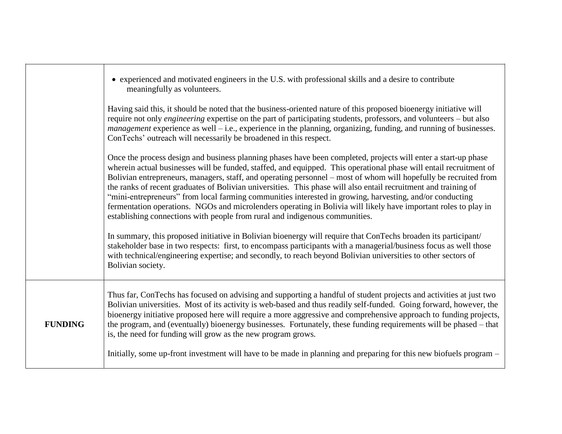|                | • experienced and motivated engineers in the U.S. with professional skills and a desire to contribute<br>meaningfully as volunteers.                                                                                                                                                                                                                                                                                                                                                                                                                                                                                                                                                                                                                                                      |
|----------------|-------------------------------------------------------------------------------------------------------------------------------------------------------------------------------------------------------------------------------------------------------------------------------------------------------------------------------------------------------------------------------------------------------------------------------------------------------------------------------------------------------------------------------------------------------------------------------------------------------------------------------------------------------------------------------------------------------------------------------------------------------------------------------------------|
|                | Having said this, it should be noted that the business-oriented nature of this proposed bioenergy initiative will<br>require not only <i>engineering</i> expertise on the part of participating students, professors, and volunteers – but also<br>$management$ experience as well $-i.e.,$ experience in the planning, organizing, funding, and running of businesses.<br>ConTechs' outreach will necessarily be broadened in this respect.                                                                                                                                                                                                                                                                                                                                              |
|                | Once the process design and business planning phases have been completed, projects will enter a start-up phase<br>wherein actual businesses will be funded, staffed, and equipped. This operational phase will entail recruitment of<br>Bolivian entrepreneurs, managers, staff, and operating personnel - most of whom will hopefully be recruited from<br>the ranks of recent graduates of Bolivian universities. This phase will also entail recruitment and training of<br>"mini-entrepreneurs" from local farming communities interested in growing, harvesting, and/or conducting<br>fermentation operations. NGOs and microlenders operating in Bolivia will likely have important roles to play in<br>establishing connections with people from rural and indigenous communities. |
|                | In summary, this proposed initiative in Bolivian bioenergy will require that ConTechs broaden its participant/<br>stakeholder base in two respects: first, to encompass participants with a managerial/business focus as well those<br>with technical/engineering expertise; and secondly, to reach beyond Bolivian universities to other sectors of<br>Bolivian society.                                                                                                                                                                                                                                                                                                                                                                                                                 |
| <b>FUNDING</b> | Thus far, ConTechs has focused on advising and supporting a handful of student projects and activities at just two<br>Bolivian universities. Most of its activity is web-based and thus readily self-funded. Going forward, however, the<br>bioenergy initiative proposed here will require a more aggressive and comprehensive approach to funding projects,<br>the program, and (eventually) bioenergy businesses. Fortunately, these funding requirements will be phased – that<br>is, the need for funding will grow as the new program grows.                                                                                                                                                                                                                                        |
|                | Initially, some up-front investment will have to be made in planning and preparing for this new biofuels program –                                                                                                                                                                                                                                                                                                                                                                                                                                                                                                                                                                                                                                                                        |